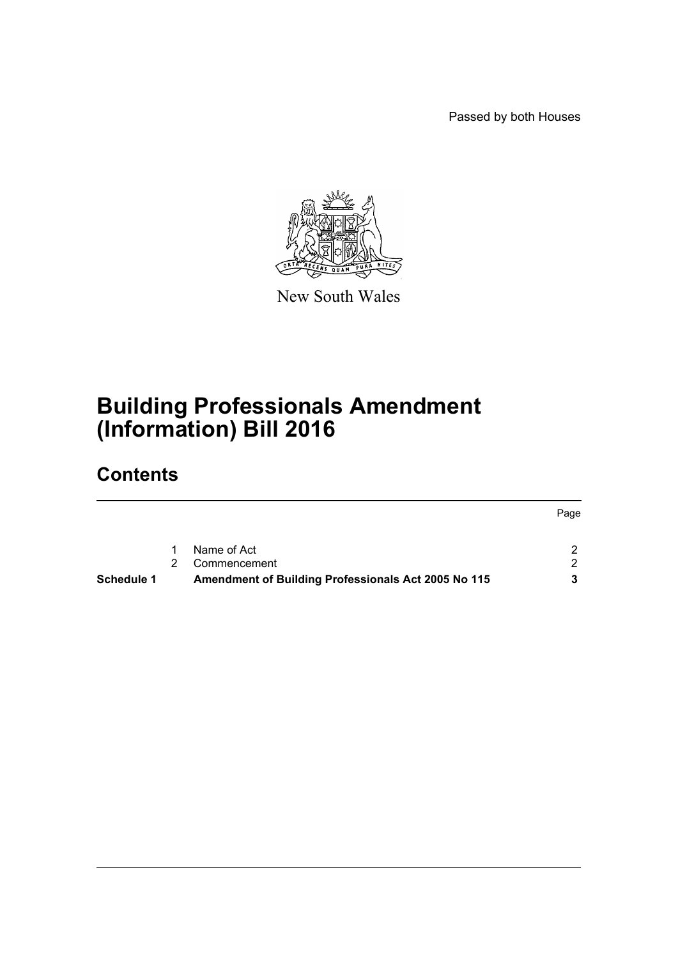Passed by both Houses



New South Wales

# **Building Professionals Amendment (Information) Bill 2016**

# **Contents**

|                   |                                                     | Page          |
|-------------------|-----------------------------------------------------|---------------|
|                   | Name of Act                                         |               |
|                   | Commencement                                        | $\mathcal{D}$ |
| <b>Schedule 1</b> | Amendment of Building Professionals Act 2005 No 115 |               |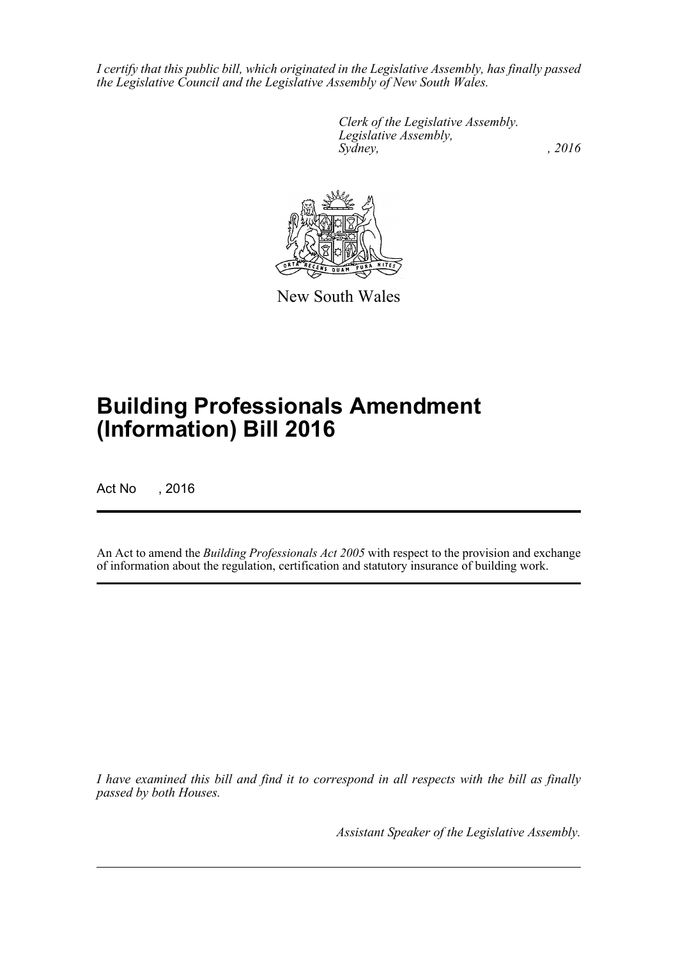*I certify that this public bill, which originated in the Legislative Assembly, has finally passed the Legislative Council and the Legislative Assembly of New South Wales.*

> *Clerk of the Legislative Assembly. Legislative Assembly, Sydney,* , 2016



New South Wales

# **Building Professionals Amendment (Information) Bill 2016**

Act No , 2016

An Act to amend the *Building Professionals Act 2005* with respect to the provision and exchange of information about the regulation, certification and statutory insurance of building work.

*I have examined this bill and find it to correspond in all respects with the bill as finally passed by both Houses.*

*Assistant Speaker of the Legislative Assembly.*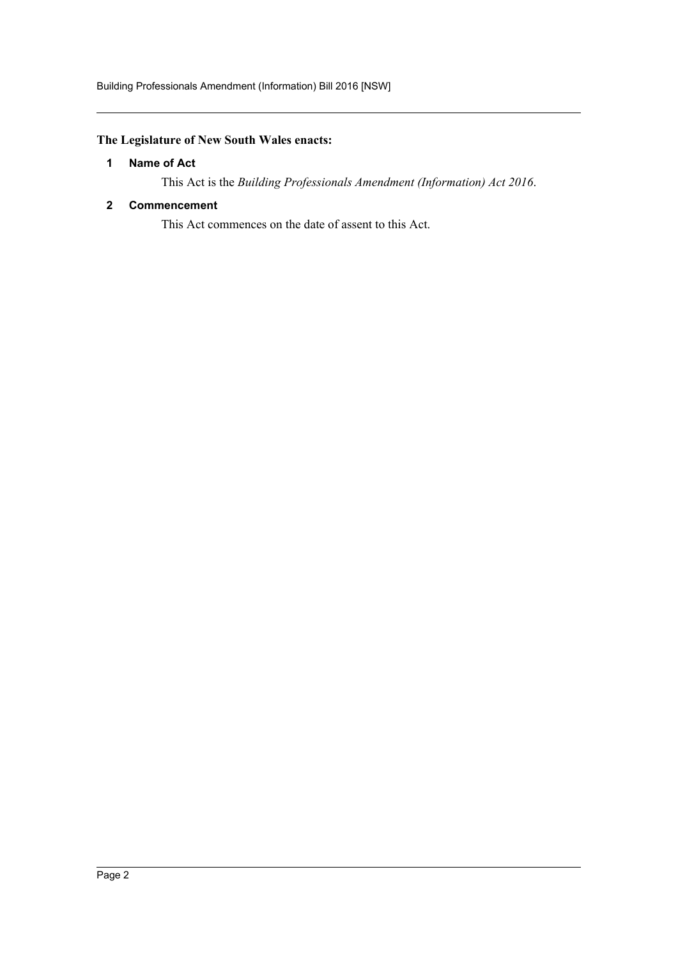## <span id="page-2-0"></span>**The Legislature of New South Wales enacts:**

### **1 Name of Act**

This Act is the *Building Professionals Amendment (Information) Act 2016*.

### <span id="page-2-1"></span>**2 Commencement**

This Act commences on the date of assent to this Act.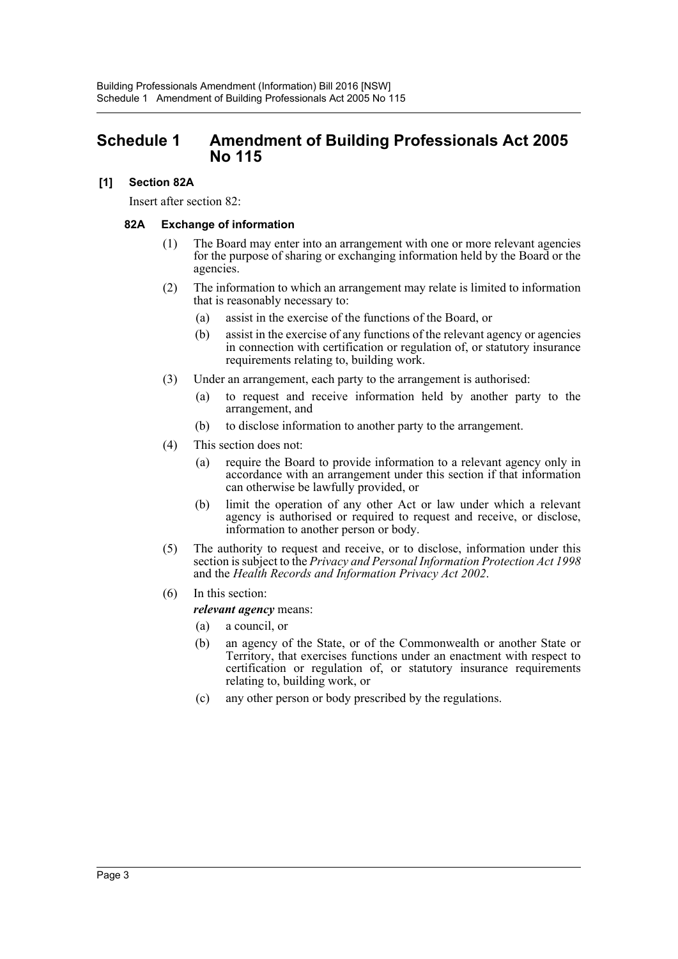## <span id="page-3-0"></span>**Schedule 1 Amendment of Building Professionals Act 2005 No 115**

### **[1] Section 82A**

Insert after section 82:

#### **82A Exchange of information**

- (1) The Board may enter into an arrangement with one or more relevant agencies for the purpose of sharing or exchanging information held by the Board or the agencies.
- (2) The information to which an arrangement may relate is limited to information that is reasonably necessary to:
	- (a) assist in the exercise of the functions of the Board, or
	- (b) assist in the exercise of any functions of the relevant agency or agencies in connection with certification or regulation of, or statutory insurance requirements relating to, building work.
- (3) Under an arrangement, each party to the arrangement is authorised:
	- (a) to request and receive information held by another party to the arrangement, and
	- (b) to disclose information to another party to the arrangement.
- (4) This section does not:
	- (a) require the Board to provide information to a relevant agency only in accordance with an arrangement under this section if that information can otherwise be lawfully provided, or
	- (b) limit the operation of any other Act or law under which a relevant agency is authorised or required to request and receive, or disclose, information to another person or body.
- (5) The authority to request and receive, or to disclose, information under this section is subject to the *Privacy and Personal Information Protection Act 1998* and the *Health Records and Information Privacy Act 2002*.
- (6) In this section:

#### *relevant agency* means:

- (a) a council, or
- (b) an agency of the State, or of the Commonwealth or another State or Territory, that exercises functions under an enactment with respect to certification or regulation of, or statutory insurance requirements relating to, building work, or
- (c) any other person or body prescribed by the regulations.